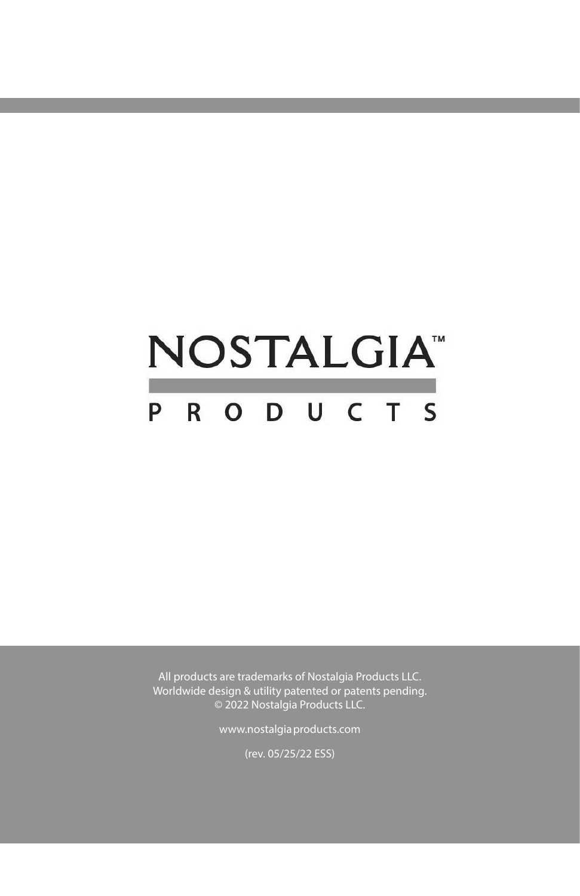# **NOSTALGIA**<sup>\*</sup> P R O D U C T S

All products are trademarks of Nostalgia Products LLC. Worldwide design & utility patented or patents pending. © 2022 Nostalgia Products LLC.

www.nostalgiaproducts.com

(rev. 05/25/22 ESS)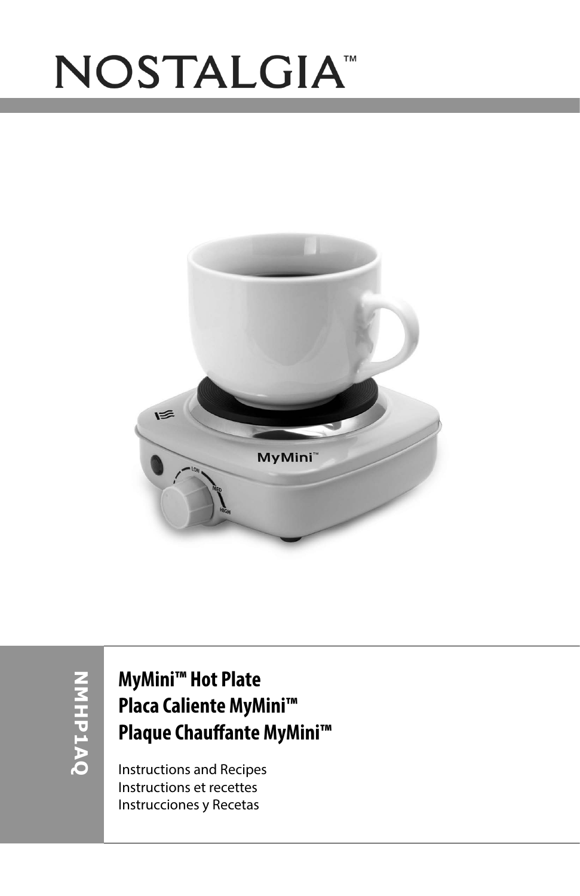# NOSTALGIA<sup>®</sup>



**NMHP1AQ** OVIDINI

### **MyMini™ Hot Plate Placa Caliente MyMini™ Plaque Chauffante MyMini™**

Instructions and Recipes Instructions et recettes Instrucciones y Recetas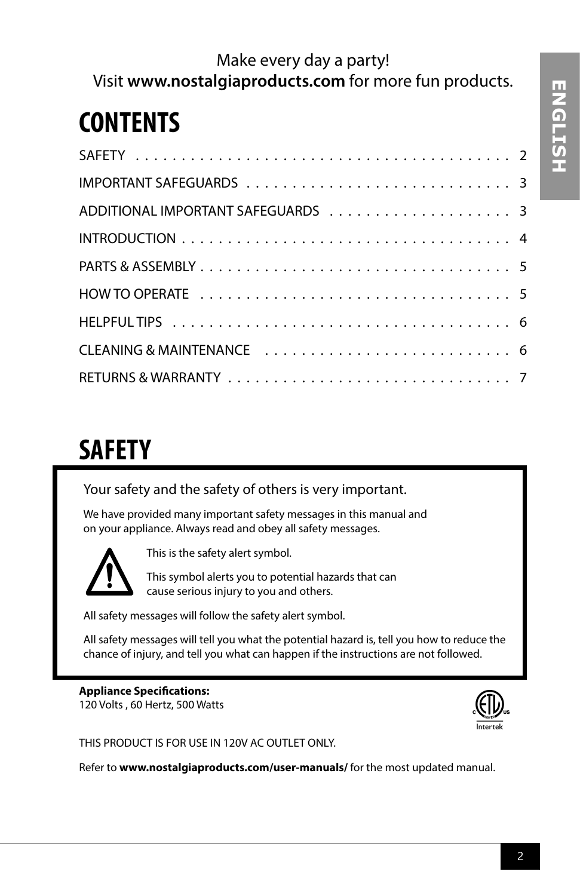### Make every day a party! Visit **www.nostalgiaproducts.com** for more fun products.

## **CONTENTS**

# **SAFETY**

Your safety and the safety of others is very important.

We have provided many important safety messages in this manual and on your appliance. Always read and obey all safety messages.



This is the safety alert symbol.

This symbol alerts you to potential hazards that can cause serious injury to you and others.

All safety messages will follow the safety alert symbol.

All safety messages will tell you what the potential hazard is, tell you how to reduce the chance of injury, and tell you what can happen if the instructions are not followed.

### **Appliance Specifications:**

120 Volts , 60 Hertz, 500 Watts



THIS PRODUCT IS FOR USE IN 120V AC OUTLET ONLY.

Refer to **www.nostalgiaproducts.com/user-manuals/** for the most updated manual.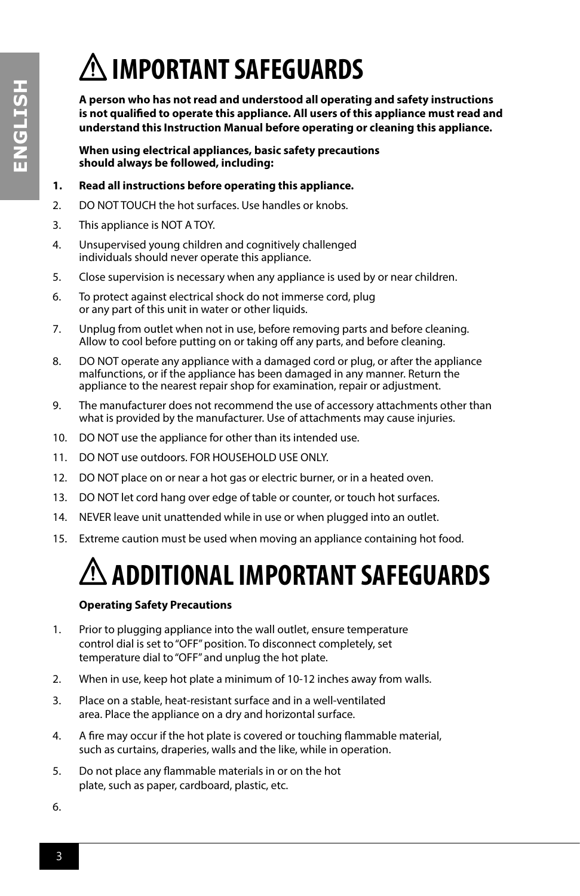# **HSLISNE ENGLISH**

# **IMPORTANT SAFEGUARDS**

**A person who has not read and understood all operating and safety instructions is not qualified to operate this appliance. All users of this appliance must read and understand this Instruction Manual before operating or cleaning this appliance.**

**When using electrical appliances, basic safety precautions should always be followed, including:**

### **1. Read all instructions before operating this appliance.**

- 2. DO NOT TOUCH the hot surfaces. Use handles or knobs.
- 3. This appliance is NOT A TOY.
- 4. Unsupervised young children and cognitively challenged individuals should never operate this appliance.
- 5. Close supervision is necessary when any appliance is used by or near children.
- 6. To protect against electrical shock do not immerse cord, plug or any part of this unit in water or other liquids.
- 7. Unplug from outlet when not in use, before removing parts and before cleaning. Allow to cool before putting on or taking off any parts, and before cleaning.
- 8. DO NOT operate any appliance with a damaged cord or plug, or after the appliance malfunctions, or if the appliance has been damaged in any manner. Return the appliance to the nearest repair shop for examination, repair or adjustment.
- 9. The manufacturer does not recommend the use of accessory attachments other than what is provided by the manufacturer. Use of attachments may cause injuries.
- 10. DO NOT use the appliance for other than its intended use.
- 11. DO NOT use outdoors. FOR HOUSEHOLD USE ONLY.
- 12. DO NOT place on or near a hot gas or electric burner, or in a heated oven.
- 13. DO NOT let cord hang over edge of table or counter, or touch hot surfaces.
- 14. NEVER leave unit unattended while in use or when plugged into an outlet.
- 15. Extreme caution must be used when moving an appliance containing hot food.

# **ADDITIONAL IMPORTANT SAFEGUARDS**

### **Operating Safety Precautions**

- 1. Prior to plugging appliance into the wall outlet, ensure temperature control dial is set to "OFF" position. To disconnect completely, set temperature dial to "OFF" and unplug the hot plate.
- 2. When in use, keep hot plate a minimum of 10-12 inches away from walls.
- 3. Place on a stable, heat-resistant surface and in a well-ventilated area. Place the appliance on a dry and horizontal surface.
- 4. A fire may occur if the hot plate is covered or touching flammable material, such as curtains, draperies, walls and the like, while in operation.
- 5. Do not place any flammable materials in or on the hot plate, such as paper, cardboard, plastic, etc.

6.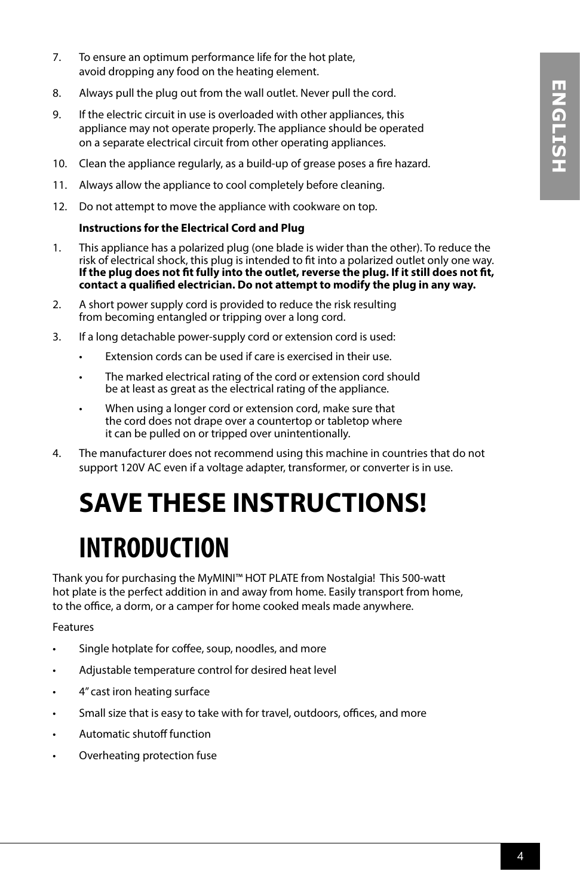- 7. To ensure an optimum performance life for the hot plate, avoid dropping any food on the heating element.
- 8. Always pull the plug out from the wall outlet. Never pull the cord.
- 9. If the electric circuit in use is overloaded with other appliances, this appliance may not operate properly. The appliance should be operated on a separate electrical circuit from other operating appliances.
- 10. Clean the appliance regularly, as a build-up of grease poses a fire hazard.
- 11. Always allow the appliance to cool completely before cleaning.
- 12. Do not attempt to move the appliance with cookware on top.

### **Instructions for the Electrical Cord and Plug**

- 1. This appliance has a polarized plug (one blade is wider than the other). To reduce the risk of electrical shock, this plug is intended to fit into a polarized outlet only one way. **If the plug does not fit fully into the outlet, reverse the plug. If it still does not fit, contact a qualified electrician. Do not attempt to modify the plug in any way.**
- 2. A short power supply cord is provided to reduce the risk resulting from becoming entangled or tripping over a long cord.
- 3. If a long detachable power-supply cord or extension cord is used:
	- Extension cords can be used if care is exercised in their use.
	- The marked electrical rating of the cord or extension cord should be at least as great as the electrical rating of the appliance.
	- When using a longer cord or extension cord, make sure that the cord does not drape over a countertop or tabletop where it can be pulled on or tripped over unintentionally.
- 4. The manufacturer does not recommend using this machine in countries that do not support 120V AC even if a voltage adapter, transformer, or converter is in use.

# **SAVE THESE INSTRUCTIONS!**

# **INTRODUCTION**

Thank you for purchasing the MyMINI™ HOT PLATE from Nostalgia! This 500-watt hot plate is the perfect addition in and away from home. Easily transport from home, to the office, a dorm, or a camper for home cooked meals made anywhere.

### Features

- Single hotplate for coffee, soup, noodles, and more
- Adjustable temperature control for desired heat level
- 4" cast iron heating surface
- Small size that is easy to take with for travel, outdoors, offices, and more
- Automatic shutoff function
- Overheating protection fuse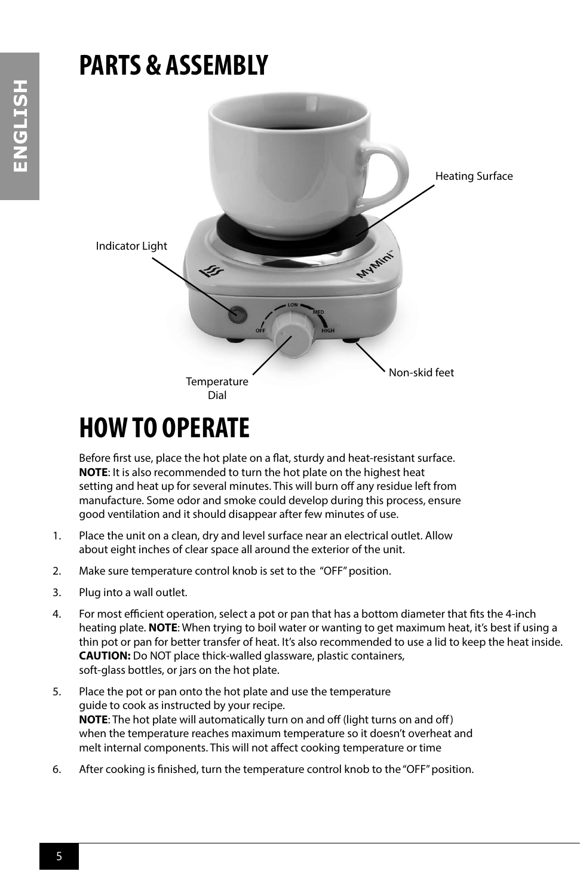### **PARTS & ASSEMBLY**



### **HOW TO OPERATE**

Before first use, place the hot plate on a flat, sturdy and heat-resistant surface. **NOTE**: It is also recommended to turn the hot plate on the highest heat setting and heat up for several minutes. This will burn off any residue left from manufacture. Some odor and smoke could develop during this process, ensure good ventilation and it should disappear after few minutes of use.

- 1. Place the unit on a clean, dry and level surface near an electrical outlet. Allow about eight inches of clear space all around the exterior of the unit.
- 2. Make sure temperature control knob is set to the "OFF" position.
- 3. Plug into a wall outlet.
- 4. For most efficient operation, select a pot or pan that has a bottom diameter that fits the 4-inch heating plate. **NOTE**: When trying to boil water or wanting to get maximum heat, it's best if using a thin pot or pan for better transfer of heat. It's also recommended to use a lid to keep the heat inside. **CAUTION:** Do NOT place thick-walled glassware, plastic containers, soft-glass bottles, or jars on the hot plate.
- 5. Place the pot or pan onto the hot plate and use the temperature guide to cook as instructed by your recipe. **NOTE**: The hot plate will automatically turn on and off (light turns on and off) when the temperature reaches maximum temperature so it doesn't overheat and melt internal components. This will not affect cooking temperature or time
- 6. After cooking is finished, turn the temperature control knob to the "OFF" position.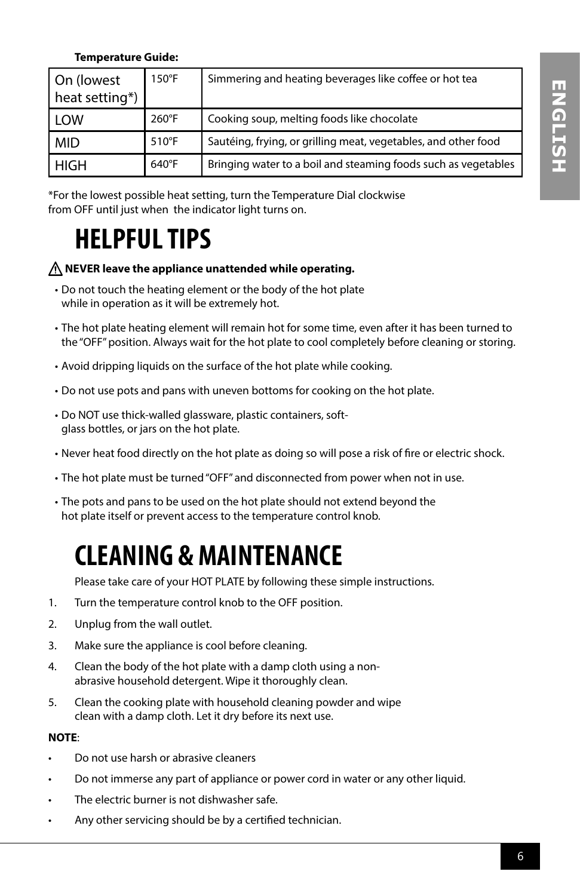### **Temperature Guide:**

| On (lowest<br>heat setting*) | $150^{\circ}$ F | Simmering and heating beverages like coffee or hot tea         |
|------------------------------|-----------------|----------------------------------------------------------------|
| l Low                        | $260^{\circ}$ F | Cooking soup, melting foods like chocolate                     |
| l MID                        | $510^{\circ}$ F | Sautéing, frying, or grilling meat, vegetables, and other food |
| l High                       | $640^{\circ}$ F | Bringing water to a boil and steaming foods such as vegetables |

\*For the lowest possible heat setting, turn the Temperature Dial clockwise from OFF until just when the indicator light turns on.

### **HELPFUL TIPS**

### **NEVER leave the appliance unattended while operating.**

- Do not touch the heating element or the body of the hot plate while in operation as it will be extremely hot.
- The hot plate heating element will remain hot for some time, even after it has been turned to the "OFF" position. Always wait for the hot plate to cool completely before cleaning or storing.
- Avoid dripping liquids on the surface of the hot plate while cooking.
- Do not use pots and pans with uneven bottoms for cooking on the hot plate.
- Do NOT use thick-walled glassware, plastic containers, softglass bottles, or jars on the hot plate.
- Never heat food directly on the hot plate as doing so will pose a risk of fire or electric shock.
- The hot plate must be turned "OFF" and disconnected from power when not in use.
- The pots and pans to be used on the hot plate should not extend beyond the hot plate itself or prevent access to the temperature control knob.

### **CLEANING & MAINTENANCE**

Please take care of your HOT PLATE by following these simple instructions.

- 1. Turn the temperature control knob to the OFF position.
- 2. Unplug from the wall outlet.
- 3. Make sure the appliance is cool before cleaning.
- 4. Clean the body of the hot plate with a damp cloth using a nonabrasive household detergent. Wipe it thoroughly clean.
- 5. Clean the cooking plate with household cleaning powder and wipe clean with a damp cloth. Let it dry before its next use.

### **NOTE**:

- Do not use harsh or abrasive cleaners
- Do not immerse any part of appliance or power cord in water or any other liquid.
- The electric burner is not dishwasher safe.
- Any other servicing should be by a certified technician.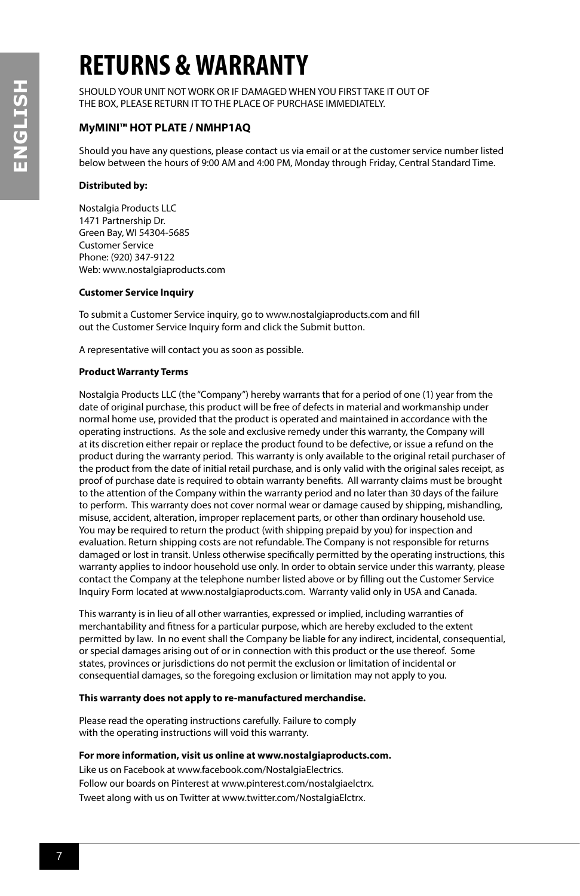### **RETURNS & WARRANTY**

SHOULD YOUR UNIT NOT WORK OR IF DAMAGED WHEN YOU FIRST TAKE IT OUT OF THE BOX, PLEASE RETURN IT TO THE PLACE OF PURCHASE IMMEDIATELY.

### **MyMINI™ HOT PLATE / NMHP1AQ**

Should you have any questions, please contact us via email or at the customer service number listed below between the hours of 9:00 AM and 4:00 PM, Monday through Friday, Central Standard Time.

#### **Distributed by:**

Nostalgia Products LLC 1471 Partnership Dr. Green Bay, WI 54304-5685 Customer Service Phone: (920) 347-9122 Web: www.nostalgiaproducts.com

#### **Customer Service Inquiry**

To submit a Customer Service inquiry, go to www.nostalgiaproducts.com and fill out the Customer Service Inquiry form and click the Submit button.

A representative will contact you as soon as possible.

#### **Product Warranty Terms**

Nostalgia Products LLC (the "Company") hereby warrants that for a period of one (1) year from the date of original purchase, this product will be free of defects in material and workmanship under normal home use, provided that the product is operated and maintained in accordance with the operating instructions. As the sole and exclusive remedy under this warranty, the Company will at its discretion either repair or replace the product found to be defective, or issue a refund on the product during the warranty period. This warranty is only available to the original retail purchaser of the product from the date of initial retail purchase, and is only valid with the original sales receipt, as proof of purchase date is required to obtain warranty benefits. All warranty claims must be brought to the attention of the Company within the warranty period and no later than 30 days of the failure to perform. This warranty does not cover normal wear or damage caused by shipping, mishandling, misuse, accident, alteration, improper replacement parts, or other than ordinary household use. You may be required to return the product (with shipping prepaid by you) for inspection and evaluation. Return shipping costs are not refundable. The Company is not responsible for returns damaged or lost in transit. Unless otherwise specifically permitted by the operating instructions, this warranty applies to indoor household use only. In order to obtain service under this warranty, please contact the Company at the telephone number listed above or by filling out the Customer Service Inquiry Form located at www.nostalgiaproducts.com. Warranty valid only in USA and Canada.

This warranty is in lieu of all other warranties, expressed or implied, including warranties of merchantability and fitness for a particular purpose, which are hereby excluded to the extent permitted by law. In no event shall the Company be liable for any indirect, incidental, consequential, or special damages arising out of or in connection with this product or the use thereof. Some states, provinces or jurisdictions do not permit the exclusion or limitation of incidental or consequential damages, so the foregoing exclusion or limitation may not apply to you.

#### **This warranty does not apply to re-manufactured merchandise.**

Please read the operating instructions carefully. Failure to comply with the operating instructions will void this warranty.

#### **For more information, visit us online at www.nostalgiaproducts.com.**

Like us on Facebook at www.facebook.com/NostalgiaElectrics. Follow our boards on Pinterest at www.pinterest.com/nostalgiaelctrx. Tweet along with us on Twitter at www.twitter.com/NostalgiaElctrx.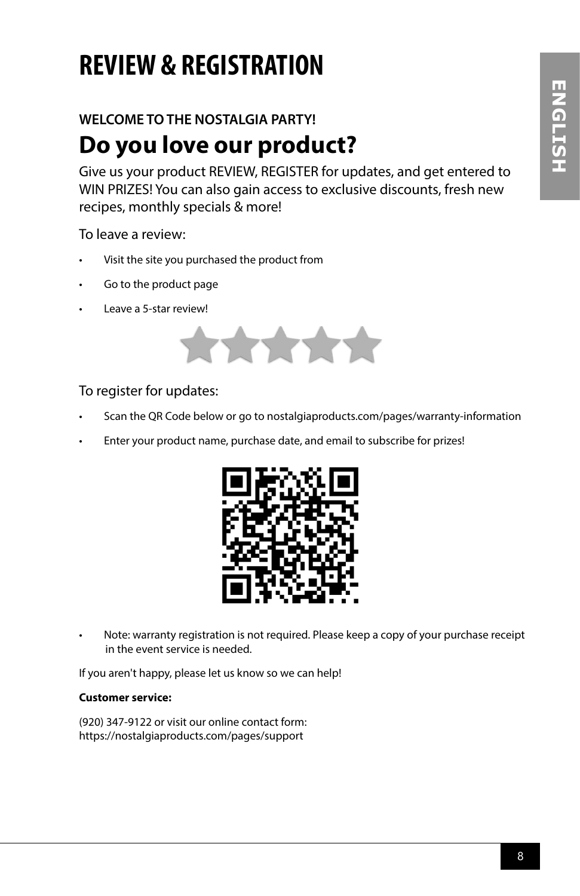## **REVIEW & REGISTRATION**

### **WELCOME TO THE NOSTALGIA PARTY!**

### **Do you love our product?**

Give us your product REVIEW, REGISTER for updates, and get entered to WIN PRIZES! You can also gain access to exclusive discounts, fresh new recipes, monthly specials & more!

To leave a review:

- Visit the site you purchased the product from
- Go to the product page
- Leave a 5-star review!



To register for updates:

- Scan the QR Code below or go to nostalgiaproducts.com/pages/warranty-information
- Enter your product name, purchase date, and email to subscribe for prizes!



• Note: warranty registration is not required. Please keep a copy of your purchase receipt in the event service is needed.

If you aren't happy, please let us know so we can help!

### **Customer service:**

(920) 347-9122 or visit our online contact form: https://nostalgiaproducts.com/pages/support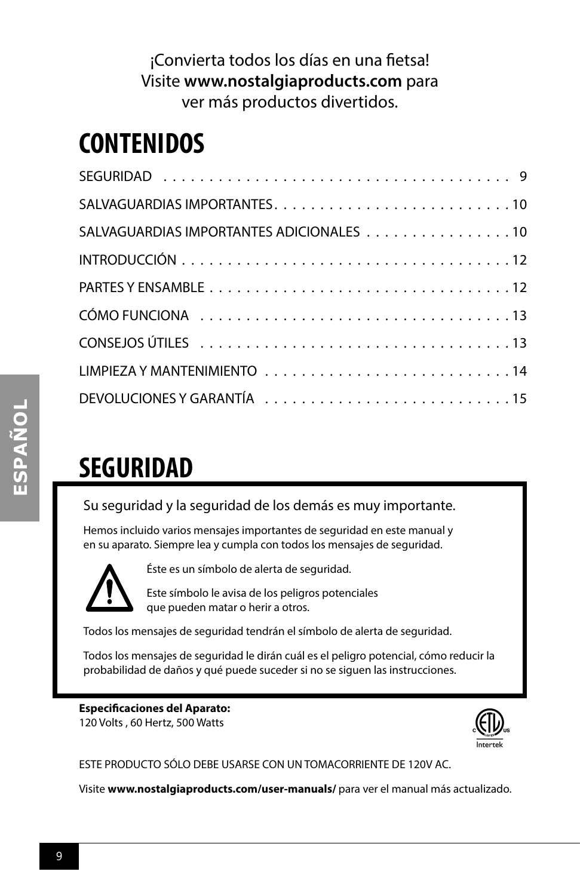### ¡Convierta todos los días en una fietsa! Visite **www.nostalgiaproducts.com** para ver más productos divertidos.

### **CONTENIDOS**

| SALVAGUARDIAS IMPORTANTES ADICIONALES 10 |
|------------------------------------------|
|                                          |
|                                          |
|                                          |
|                                          |
|                                          |
|                                          |

### **SEGURIDAD**

Su seguridad y la seguridad de los demás es muy importante.

Hemos incluido varios mensajes importantes de seguridad en este manual y en su aparato. Siempre lea y cumpla con todos los mensajes de seguridad.



Éste es un símbolo de alerta de seguridad.

Este símbolo le avisa de los peligros potenciales que pueden matar o herir a otros.

Todos los mensajes de seguridad tendrán el símbolo de alerta de seguridad.

Todos los mensajes de seguridad le dirán cuál es el peligro potencial, cómo reducir la probabilidad de daños y qué puede suceder si no se siguen las instrucciones.

**Especificaciones del Aparato:** 120 Volts , 60 Hertz, 500 Watts



ESTE PRODUCTO SÓLO DEBE USARSE CON UN TOMACORRIENTE DE 120V AC.

Visite **www.nostalgiaproducts.com/user-manuals/** para ver el manual más actualizado.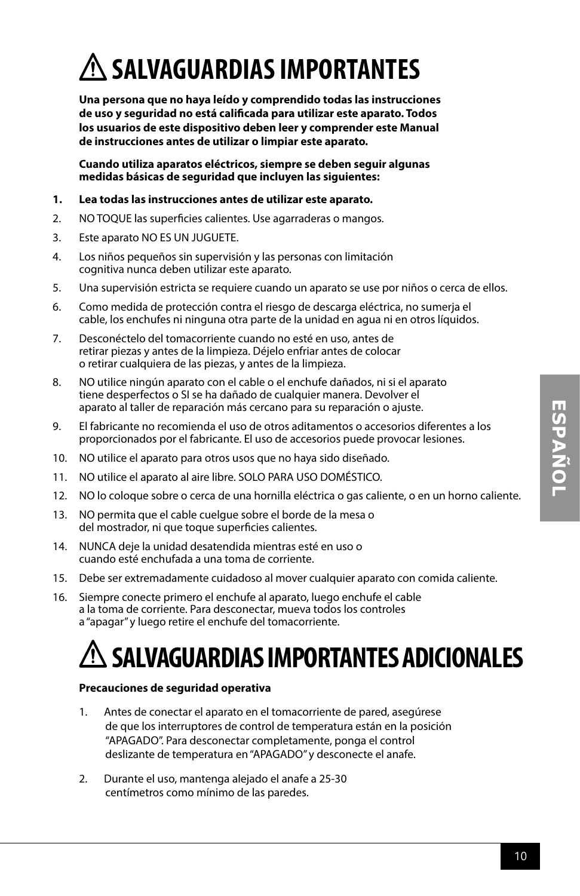# **SALVAGUARDIAS IMPORTANTES**

**Una persona que no haya leído y comprendido todas las instrucciones de uso y seguridad no está calificada para utilizar este aparato. Todos los usuarios de este dispositivo deben leer y comprender este Manual de instrucciones antes de utilizar o limpiar este aparato.**

**Cuando utiliza aparatos eléctricos, siempre se deben seguir algunas medidas básicas de seguridad que incluyen las siguientes:**

#### **1. Lea todas las instrucciones antes de utilizar este aparato.**

- 2. NO TOQUE las superficies calientes. Use agarraderas o mangos.
- 3. Este aparato NO ES UN JUGUETE.
- 4. Los niños pequeños sin supervisión y las personas con limitación cognitiva nunca deben utilizar este aparato.
- 5. Una supervisión estricta se requiere cuando un aparato se use por niños o cerca de ellos.
- 6. Como medida de protección contra el riesgo de descarga eléctrica, no sumerja el cable, los enchufes ni ninguna otra parte de la unidad en agua ni en otros líquidos.
- 7. Desconéctelo del tomacorriente cuando no esté en uso, antes de retirar piezas y antes de la limpieza. Déjelo enfriar antes de colocar o retirar cualquiera de las piezas, y antes de la limpieza.
- 8. NO utilice ningún aparato con el cable o el enchufe dañados, ni si el aparato tiene desperfectos o SI se ha dañado de cualquier manera. Devolver el aparato al taller de reparación más cercano para su reparación o ajuste.
- 9. El fabricante no recomienda el uso de otros aditamentos o accesorios diferentes a los proporcionados por el fabricante. El uso de accesorios puede provocar lesiones.
- 10. NO utilice el aparato para otros usos que no haya sido diseñado.
- 11. NO utilice el aparato al aire libre. SOLO PARA USO DOMÉSTICO.
- 12. NO lo coloque sobre o cerca de una hornilla eléctrica o gas caliente, o en un horno caliente.
- 13. NO permita que el cable cuelgue sobre el borde de la mesa o del mostrador, ni que toque superficies calientes.
- 14. NUNCA deje la unidad desatendida mientras esté en uso o cuando esté enchufada a una toma de corriente.
- 15. Debe ser extremadamente cuidadoso al mover cualquier aparato con comida caliente.
- 16. Siempre conecte primero el enchufe al aparato, luego enchufe el cable a la toma de corriente. Para desconectar, mueva todos los controles a "apagar" y luego retire el enchufe del tomacorriente.

### **SALVAGUARDIAS IMPORTANTES ADICIONALES**

### **Precauciones de seguridad operativa**

- 1. Antes de conectar el aparato en el tomacorriente de pared, asegúrese de que los interruptores de control de temperatura están en la posición "APAGADO". Para desconectar completamente, ponga el control deslizante de temperatura en "APAGADO" y desconecte el anafe.
- 2. Durante el uso, mantenga alejado el anafe a 25-30 centímetros como mínimo de las paredes.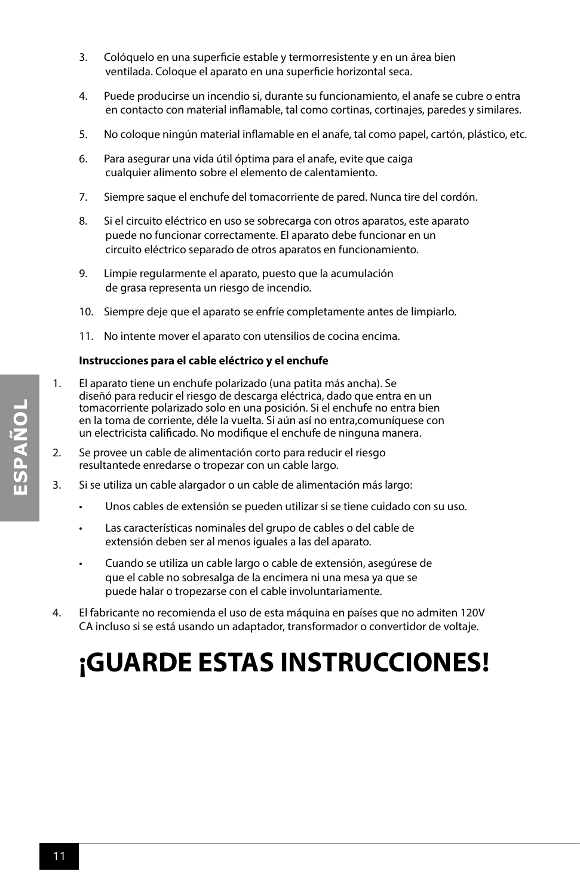- 3. Colóquelo en una superficie estable y termorresistente y en un área bien ventilada. Coloque el aparato en una superficie horizontal seca.
- 4. Puede producirse un incendio si, durante su funcionamiento, el anafe se cubre o entra en contacto con material inflamable, tal como cortinas, cortinajes, paredes y similares.
- 5. No coloque ningún material inflamable en el anafe, tal como papel, cartón, plástico, etc.
- 6. Para asegurar una vida útil óptima para el anafe, evite que caiga cualquier alimento sobre el elemento de calentamiento.
- 7. Siempre saque el enchufe del tomacorriente de pared. Nunca tire del cordón.
- 8. Si el circuito eléctrico en uso se sobrecarga con otros aparatos, este aparato puede no funcionar correctamente. El aparato debe funcionar en un circuito eléctrico separado de otros aparatos en funcionamiento.
- 9. Limpie regularmente el aparato, puesto que la acumulación de grasa representa un riesgo de incendio.
- 10. Siempre deje que el aparato se enfríe completamente antes de limpiarlo.
- 11. No intente mover el aparato con utensilios de cocina encima.

### **Instrucciones para el cable eléctrico y el enchufe**

- 1. El aparato tiene un enchufe polarizado (una patita más ancha). Se diseñó para reducir el riesgo de descarga eléctrica, dado que entra en un tomacorriente polarizado solo en una posición. Si el enchufe no entra bien en la toma de corriente, déle la vuelta. Si aún así no entra,comuníquese con un electricista calificado. No modifique el enchufe de ninguna manera.
- 2. Se provee un cable de alimentación corto para reducir el riesgo resultantede enredarse o tropezar con un cable largo.
- 3. Si se utiliza un cable alargador o un cable de alimentación más largo:
	- Unos cables de extensión se pueden utilizar si se tiene cuidado con su uso.
	- Las características nominales del grupo de cables o del cable de extensión deben ser al menos iguales a las del aparato.
	- Cuando se utiliza un cable largo o cable de extensión, asegúrese de que el cable no sobresalga de la encimera ni una mesa ya que se puede halar o tropezarse con el cable involuntariamente.
- 4. El fabricante no recomienda el uso de esta máquina en países que no admiten 120V CA incluso si se está usando un adaptador, transformador o convertidor de voltaje.

### **¡GUARDE ESTAS INSTRUCCIONES!**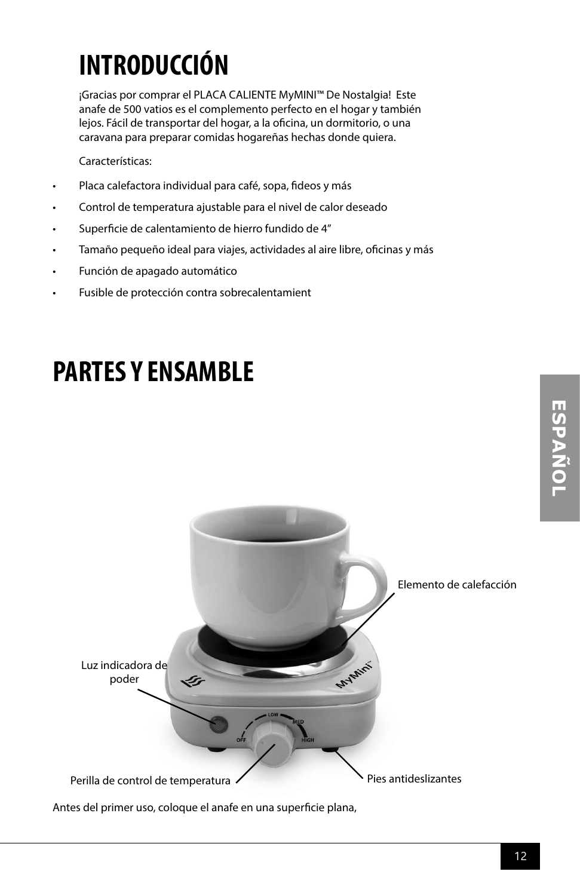## **INTRODUCCIÓN**

¡Gracias por comprar el PLACA CALIENTE MyMINI™ De Nostalgia! Este anafe de 500 vatios es el complemento perfecto en el hogar y también lejos. Fácil de transportar del hogar, a la oficina, un dormitorio, o una caravana para preparar comidas hogareñas hechas donde quiera.

Características:

- Placa calefactora individual para café, sopa, fideos y más
- Control de temperatura ajustable para el nivel de calor deseado
- Superficie de calentamiento de hierro fundido de 4"
- Tamaño pequeño ideal para viajes, actividades al aire libre, oficinas y más
- Función de apagado automático
- Fusible de protección contra sobrecalentamient

### **PARTES Y ENSAMBLE**



Antes del primer uso, coloque el anafe en una superficie plana,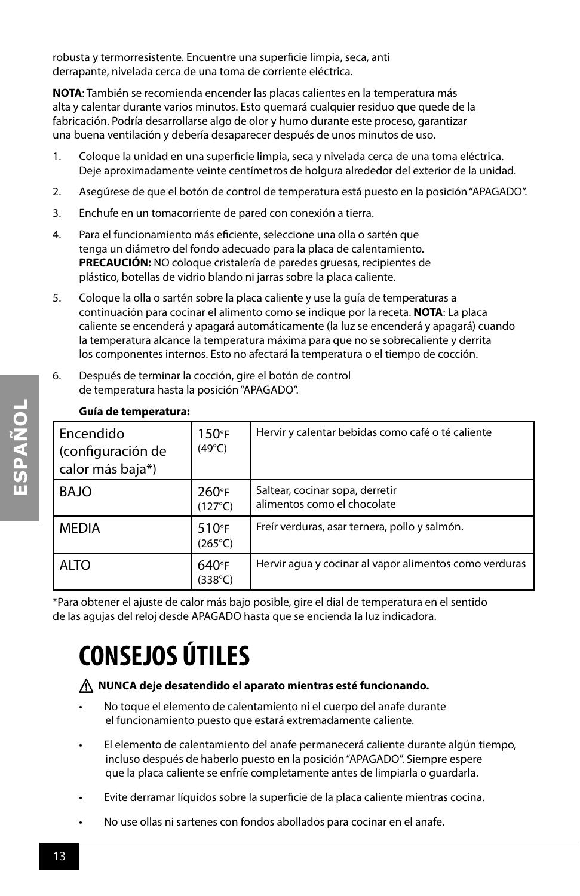robusta y termorresistente. Encuentre una superficie limpia, seca, anti derrapante, nivelada cerca de una toma de corriente eléctrica.

**NOTA**: También se recomienda encender las placas calientes en la temperatura más alta y calentar durante varios minutos. Esto quemará cualquier residuo que quede de la fabricación. Podría desarrollarse algo de olor y humo durante este proceso, garantizar una buena ventilación y debería desaparecer después de unos minutos de uso.

- 1. Coloque la unidad en una superficie limpia, seca y nivelada cerca de una toma eléctrica. Deje aproximadamente veinte centímetros de holgura alrededor del exterior de la unidad.
- 2. Asegúrese de que el botón de control de temperatura está puesto en la posición "APAGADO".
- 3. Enchufe en un tomacorriente de pared con conexión a tierra.
- 4. Para el funcionamiento más eficiente, seleccione una olla o sartén que tenga un diámetro del fondo adecuado para la placa de calentamiento. **PRECAUCIÓN:** NO coloque cristalería de paredes gruesas, recipientes de plástico, botellas de vidrio blando ni jarras sobre la placa caliente.
- 5. Coloque la olla o sartén sobre la placa caliente y use la guía de temperaturas a continuación para cocinar el alimento como se indique por la receta. **NOTA**: La placa caliente se encenderá y apagará automáticamente (la luz se encenderá y apagará) cuando la temperatura alcance la temperatura máxima para que no se sobrecaliente y derrita los componentes internos. Esto no afectará la temperatura o el tiempo de cocción.
- 6. Después de terminar la cocción, gire el botón de control de temperatura hasta la posición "APAGADO".

|  | Guia de temperatura:                               |                                     |                                                                |  |
|--|----------------------------------------------------|-------------------------------------|----------------------------------------------------------------|--|
|  | Encendido<br>(configuración de<br>calor más baja*) | 150°F<br>$(49^{\circ}C)$            | Hervir y calentar bebidas como café o té caliente              |  |
|  | BAJO                                               | 260°F<br>$(127^{\circ}C)$           | Saltear, cocinar sopa, derretir<br>alimentos como el chocolate |  |
|  | <b>MEDIA</b>                                       | $510^{\circ}$ F<br>$(265^{\circ}C)$ | Freír verduras, asar ternera, pollo y salmón.                  |  |
|  | <b>ALTO</b>                                        | 640°F<br>$(338^{\circ}C)$           | Hervir agua y cocinar al vapor alimentos como verduras         |  |

### **Guía de temperatura:**

\*Para obtener el ajuste de calor más bajo posible, gire el dial de temperatura en el sentido de las agujas del reloj desde APAGADO hasta que se encienda la luz indicadora.

# **CONSEJOS ÚTILES**

### **NUNCA deje desatendido el aparato mientras esté funcionando.**

- No toque el elemento de calentamiento ni el cuerpo del anafe durante el funcionamiento puesto que estará extremadamente caliente.
- El elemento de calentamiento del anafe permanecerá caliente durante algún tiempo, incluso después de haberlo puesto en la posición "APAGADO". Siempre espere que la placa caliente se enfríe completamente antes de limpiarla o guardarla.
- Evite derramar líquidos sobre la superficie de la placa caliente mientras cocina.
- No use ollas ni sartenes con fondos abollados para cocinar en el anafe.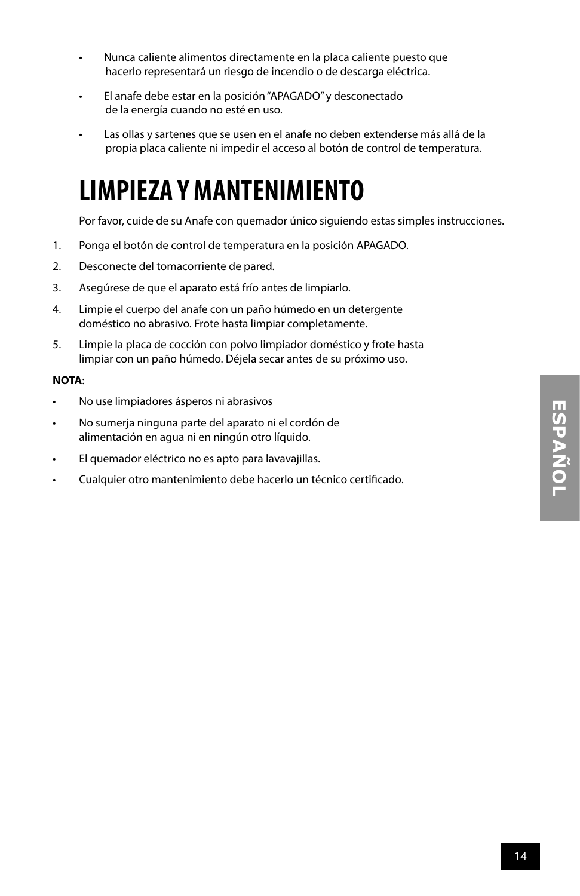- Nunca caliente alimentos directamente en la placa caliente puesto que hacerlo representará un riesgo de incendio o de descarga eléctrica.
- El anafe debe estar en la posición "APAGADO" y desconectado de la energía cuando no esté en uso.
- Las ollas y sartenes que se usen en el anafe no deben extenderse más allá de la propia placa caliente ni impedir el acceso al botón de control de temperatura.

### **LIMPIEZA Y MANTENIMIENTO**

Por favor, cuide de su Anafe con quemador único siguiendo estas simples instrucciones.

- 1. Ponga el botón de control de temperatura en la posición APAGADO.
- 2. Desconecte del tomacorriente de pared.
- 3. Asegúrese de que el aparato está frío antes de limpiarlo.
- 4. Limpie el cuerpo del anafe con un paño húmedo en un detergente doméstico no abrasivo. Frote hasta limpiar completamente.
- 5. Limpie la placa de cocción con polvo limpiador doméstico y frote hasta limpiar con un paño húmedo. Déjela secar antes de su próximo uso.

### **NOTA**:

- No use limpiadores ásperos ni abrasivos
- No sumerja ninguna parte del aparato ni el cordón de alimentación en agua ni en ningún otro líquido.
- El quemador eléctrico no es apto para lavavajillas.
- Cualquier otro mantenimiento debe hacerlo un técnico certificado.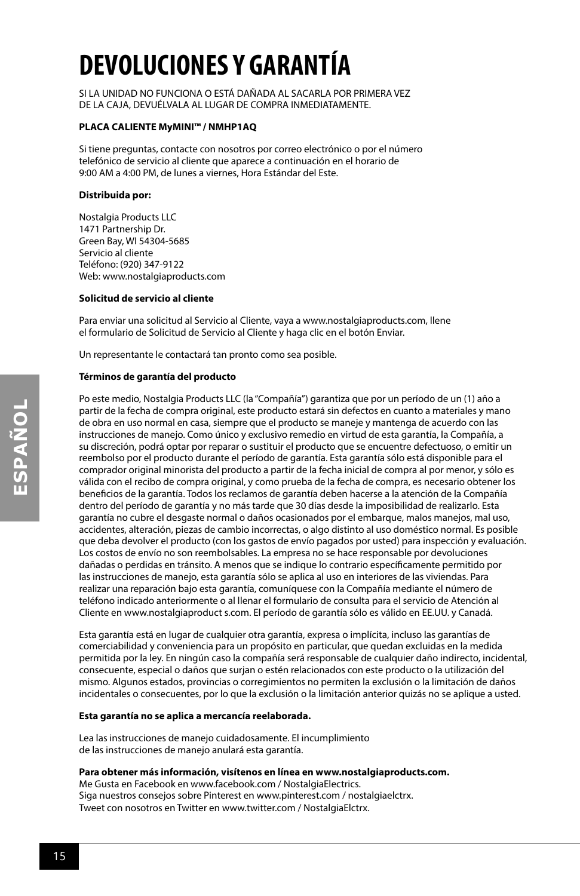# **DEVOLUCIONES Y GARANTÍA**

SI LA UNIDAD NO FUNCIONA O ESTÁ DAÑADA AL SACARLA POR PRIMERA VEZ DE LA CAJA, DEVUÉLVALA AL LUGAR DE COMPRA INMEDIATAMENTE.

#### **PLACA CALIENTE MyMINI™ / NMHP1AQ**

Si tiene preguntas, contacte con nosotros por correo electrónico o por el número telefónico de servicio al cliente que aparece a continuación en el horario de 9:00 AM a 4:00 PM, de lunes a viernes, Hora Estándar del Este.

#### **Distribuida por:**

Nostalgia Products LLC 1471 Partnership Dr. Green Bay, WI 54304-5685 Servicio al cliente Teléfono: (920) 347-9122 Web: www.nostalgiaproducts.com

#### **Solicitud de servicio al cliente**

Para enviar una solicitud al Servicio al Cliente, vaya a www.nostalgiaproducts.com, llene el formulario de Solicitud de Servicio al Cliente y haga clic en el botón Enviar.

Un representante le contactará tan pronto como sea posible.

#### **Términos de garantía del producto**

Po este medio, Nostalgia Products LLC (la "Compañía") garantiza que por un período de un (1) año a partir de la fecha de compra original, este producto estará sin defectos en cuanto a materiales y mano de obra en uso normal en casa, siempre que el producto se maneje y mantenga de acuerdo con las instrucciones de manejo. Como único y exclusivo remedio en virtud de esta garantía, la Compañía, a su discreción, podrá optar por reparar o sustituir el producto que se encuentre defectuoso, o emitir un reembolso por el producto durante el período de garantía. Esta garantía sólo está disponible para el comprador original minorista del producto a partir de la fecha inicial de compra al por menor, y sólo es válida con el recibo de compra original, y como prueba de la fecha de compra, es necesario obtener los beneficios de la garantía. Todos los reclamos de garantía deben hacerse a la atención de la Compañía dentro del período de garantía y no más tarde que 30 días desde la imposibilidad de realizarlo. Esta garantía no cubre el desgaste normal o daños ocasionados por el embarque, malos manejos, mal uso, accidentes, alteración, piezas de cambio incorrectas, o algo distinto al uso doméstico normal. Es posible que deba devolver el producto (con los gastos de envío pagados por usted) para inspección y evaluación. Los costos de envío no son reembolsables. La empresa no se hace responsable por devoluciones dañadas o perdidas en tránsito. A menos que se indique lo contrario específicamente permitido por las instrucciones de manejo, esta garantía sólo se aplica al uso en interiores de las viviendas. Para realizar una reparación bajo esta garantía, comuníquese con la Compañía mediante el número de teléfono indicado anteriormente o al llenar el formulario de consulta para el servicio de Atención al Cliente en www.nostalgiaproduct s.com. El período de garantía sólo es válido en EE.UU. y Canadá.

Esta garantía está en lugar de cualquier otra garantía, expresa o implícita, incluso las garantías de comerciabilidad y conveniencia para un propósito en particular, que quedan excluidas en la medida permitida por la ley. En ningún caso la compañía será responsable de cualquier daño indirecto, incidental, consecuente, especial o daños que surjan o estén relacionados con este producto o la utilización del mismo. Algunos estados, provincias o corregimientos no permiten la exclusión o la limitación de daños incidentales o consecuentes, por lo que la exclusión o la limitación anterior quizás no se aplique a usted.

#### **Esta garantía no se aplica a mercancía reelaborada.**

Lea las instrucciones de manejo cuidadosamente. El incumplimiento de las instrucciones de manejo anulará esta garantía.

#### **Para obtener más información, visítenos en línea en www.nostalgiaproducts.com.**

Me Gusta en Facebook en www.facebook.com / NostalgiaElectrics. Siga nuestros consejos sobre Pinterest en www.pinterest.com / nostalgiaelctrx. Tweet con nosotros en Twitter en www.twitter.com / NostalgiaElctrx.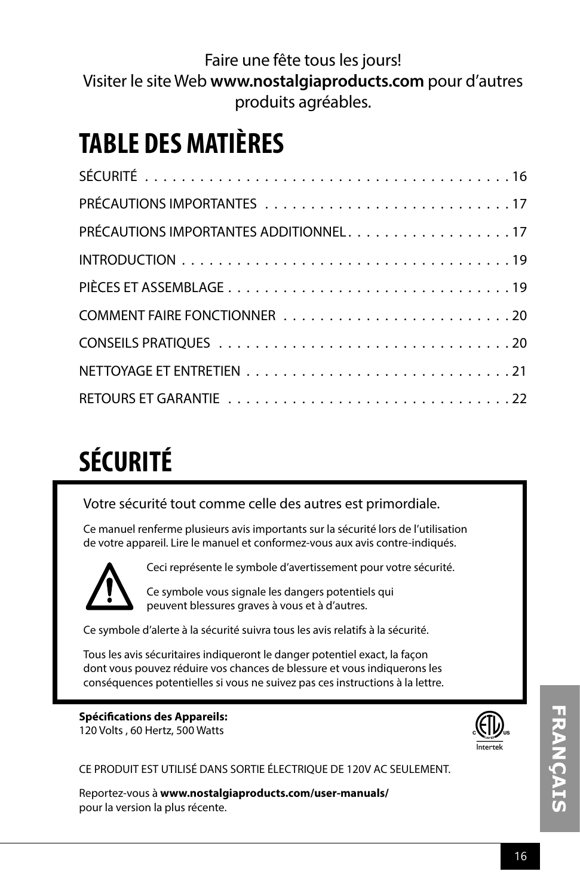Faire une fête tous les jours! Visiter le site Web **www.nostalgiaproducts.com** pour d'autres produits agréables.

### **TABLE DES MATIÈRES**

| PRÉCAUTIONS IMPORTANTES ADDITIONNEL17 |
|---------------------------------------|
|                                       |
|                                       |
|                                       |
|                                       |
|                                       |
|                                       |

# **SÉCURITÉ**

Votre sécurité tout comme celle des autres est primordiale.

Ce manuel renferme plusieurs avis importants sur la sécurité lors de l'utilisation de votre appareil. Lire le manuel et conformez-vous aux avis contre-indiqués.



Ceci représente le symbole d'avertissement pour votre sécurité.

Ce symbole vous signale les dangers potentiels qui peuvent blessures graves à vous et à d'autres.

Ce symbole d'alerte à la sécurité suivra tous les avis relatifs à la sécurité.

Tous les avis sécuritaires indiqueront le danger potentiel exact, la façon dont vous pouvez réduire vos chances de blessure et vous indiquerons les conséquences potentielles si vous ne suivez pas ces instructions à la lettre.

### **Spécifications des Appareils:** 120 Volts , 60 Hertz, 500 Watts



CE PRODUIT EST UTILISÉ DANS SORTIE ÉLECTRIQUE DE 120V AC SEULEMENT.

Reportez-vous à **www.nostalgiaproducts.com/user-manuals/**  pour la version la plus récente.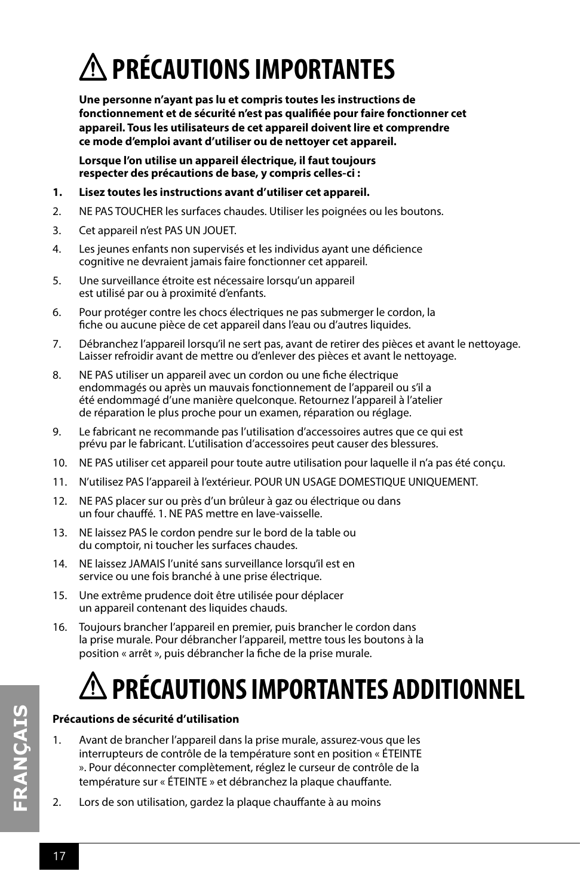# **PRÉCAUTIONS IMPORTANTES**

**Une personne n'ayant pas lu et compris toutes les instructions de fonctionnement et de sécurité n'est pas qualifiée pour faire fonctionner cet appareil. Tous les utilisateurs de cet appareil doivent lire et comprendre ce mode d'emploi avant d'utiliser ou de nettoyer cet appareil.**

**Lorsque l'on utilise un appareil électrique, il faut toujours respecter des précautions de base, y compris celles-ci :**

- **1. Lisez toutes les instructions avant d'utiliser cet appareil.**
- 2. NE PAS TOUCHER les surfaces chaudes. Utiliser les poignées ou les boutons.
- 3. Cet appareil n'est PAS UN JOUET.
- 4. Les jeunes enfants non supervisés et les individus ayant une déficience cognitive ne devraient jamais faire fonctionner cet appareil.
- 5. Une surveillance étroite est nécessaire lorsqu'un appareil est utilisé par ou à proximité d'enfants.
- 6. Pour protéger contre les chocs électriques ne pas submerger le cordon, la fiche ou aucune pièce de cet appareil dans l'eau ou d'autres liquides.
- 7. Débranchez l'appareil lorsqu'il ne sert pas, avant de retirer des pièces et avant le nettoyage. Laisser refroidir avant de mettre ou d'enlever des pièces et avant le nettoyage.
- 8. NE PAS utiliser un appareil avec un cordon ou une fiche électrique endommagés ou après un mauvais fonctionnement de l'appareil ou s'il a été endommagé d'une manière quelconque. Retournez l'appareil à l'atelier de réparation le plus proche pour un examen, réparation ou réglage.
- 9. Le fabricant ne recommande pas l'utilisation d'accessoires autres que ce qui est prévu par le fabricant. L'utilisation d'accessoires peut causer des blessures.
- 10. NE PAS utiliser cet appareil pour toute autre utilisation pour laquelle il n'a pas été conçu.
- 11. N'utilisez PAS l'appareil à l'extérieur. POUR UN USAGE DOMESTIQUE UNIQUEMENT.
- 12. NE PAS placer sur ou près d'un brûleur à gaz ou électrique ou dans un four chauffé. 1. NE PAS mettre en lave-vaisselle.
- 13. NE laissez PAS le cordon pendre sur le bord de la table ou du comptoir, ni toucher les surfaces chaudes.
- 14. NE laissez JAMAIS l'unité sans surveillance lorsqu'il est en service ou une fois branché à une prise électrique.
- 15. Une extrême prudence doit être utilisée pour déplacer un appareil contenant des liquides chauds.
- 16. Toujours brancher l'appareil en premier, puis brancher le cordon dans la prise murale. Pour débrancher l'appareil, mettre tous les boutons à la position « arrêt », puis débrancher la fiche de la prise murale.

# **PRÉCAUTIONS IMPORTANTES ADDITIONNEL**

### **Précautions de sécurité d'utilisation**

- 1. Avant de brancher l'appareil dans la prise murale, assurez-vous que les interrupteurs de contrôle de la température sont en position « ÉTEINTE ». Pour déconnecter complètement, réglez le curseur de contrôle de la température sur « ÉTEINTE » et débranchez la plaque chauffante.
- 2. Lors de son utilisation, gardez la plaque chauffante à au moins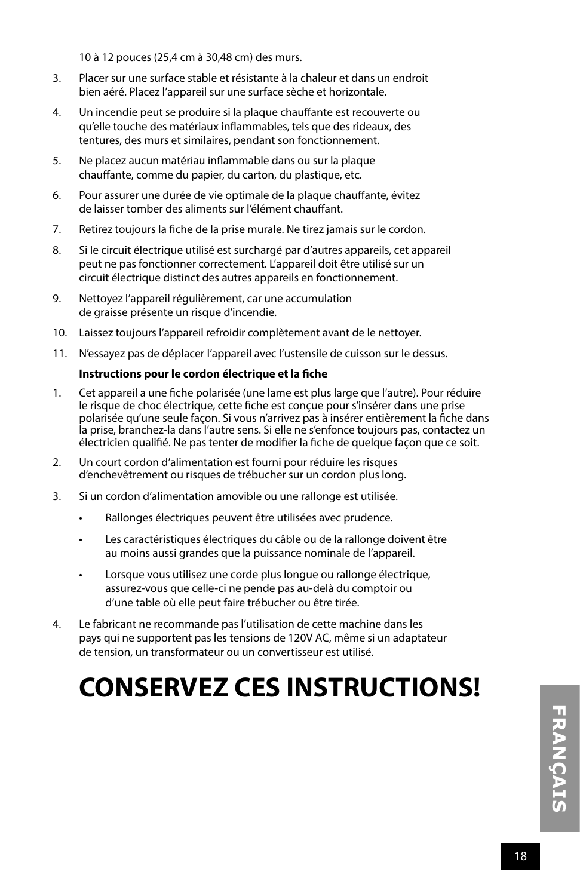10 à 12 pouces (25,4 cm à 30,48 cm) des murs.

- 3. Placer sur une surface stable et résistante à la chaleur et dans un endroit bien aéré. Placez l'appareil sur une surface sèche et horizontale.
- 4. Un incendie peut se produire si la plaque chauffante est recouverte ou qu'elle touche des matériaux inflammables, tels que des rideaux, des tentures, des murs et similaires, pendant son fonctionnement.
- 5. Ne placez aucun matériau inflammable dans ou sur la plaque chauffante, comme du papier, du carton, du plastique, etc.
- 6. Pour assurer une durée de vie optimale de la plaque chauffante, évitez de laisser tomber des aliments sur l'élément chauffant.
- 7. Retirez toujours la fiche de la prise murale. Ne tirez jamais sur le cordon.
- 8. Si le circuit électrique utilisé est surchargé par d'autres appareils, cet appareil peut ne pas fonctionner correctement. L'appareil doit être utilisé sur un circuit électrique distinct des autres appareils en fonctionnement.
- 9. Nettoyez l'appareil régulièrement, car une accumulation de graisse présente un risque d'incendie.
- 10. Laissez toujours l'appareil refroidir complètement avant de le nettoyer.
- 11. N'essayez pas de déplacer l'appareil avec l'ustensile de cuisson sur le dessus.

### **Instructions pour le cordon électrique et la fiche**

- 1. Cet appareil a une fiche polarisée (une lame est plus large que l'autre). Pour réduire le risque de choc électrique, cette fiche est conçue pour s'insérer dans une prise polarisée qu'une seule façon. Si vous n'arrivez pas à insérer entièrement la fiche dans la prise, branchez-la dans l'autre sens. Si elle ne s'enfonce toujours pas, contactez un électricien qualifié. Ne pas tenter de modifier la fiche de quelque façon que ce soit.
- 2. Un court cordon d'alimentation est fourni pour réduire les risques d'enchevêtrement ou risques de trébucher sur un cordon plus long.
- 3. Si un cordon d'alimentation amovible ou une rallonge est utilisée.
	- Rallonges électriques peuvent être utilisées avec prudence.
	- Les caractéristiques électriques du câble ou de la rallonge doivent être au moins aussi grandes que la puissance nominale de l'appareil.
	- Lorsque vous utilisez une corde plus longue ou rallonge électrique, assurez-vous que celle-ci ne pende pas au-delà du comptoir ou d'une table où elle peut faire trébucher ou être tirée.
- 4. Le fabricant ne recommande pas l'utilisation de cette machine dans les pays qui ne supportent pas les tensions de 120V AC, même si un adaptateur de tension, un transformateur ou un convertisseur est utilisé.

### **CONSERVEZ CES INSTRUCTIONS!**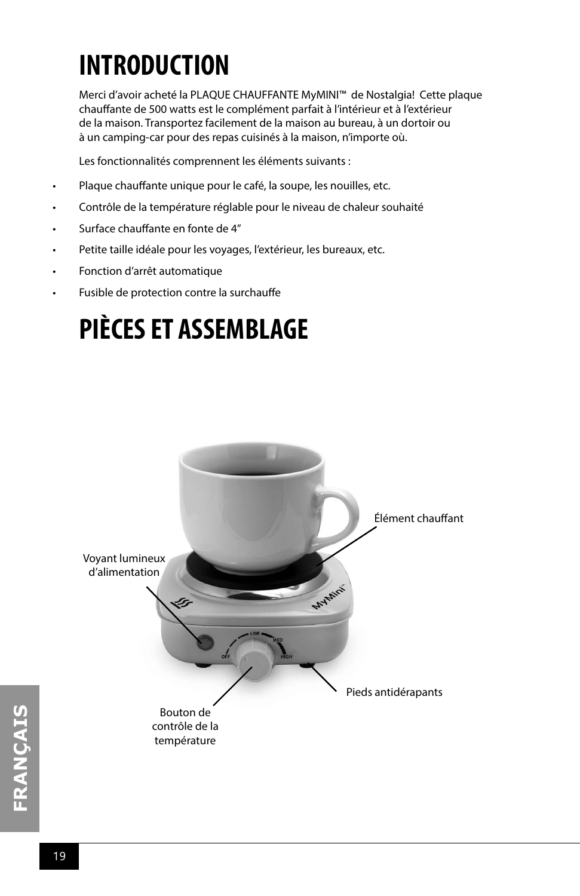## **INTRODUCTION**

Merci d'avoir acheté la PLAQUE CHAUFFANTE MyMINI™ de Nostalgia! Cette plaque chauffante de 500 watts est le complément parfait à l'intérieur et à l'extérieur de la maison. Transportez facilement de la maison au bureau, à un dortoir ou à un camping-car pour des repas cuisinés à la maison, n'importe où.

Les fonctionnalités comprennent les éléments suivants :

- Plaque chauffante unique pour le café, la soupe, les nouilles, etc.
- Contrôle de la température réglable pour le niveau de chaleur souhaité
- Surface chauffante en fonte de 4"
- Petite taille idéale pour les voyages, l'extérieur, les bureaux, etc.
- Fonction d'arrêt automatique
- Fusible de protection contre la surchauffe

## **PIÈCES ET ASSEMBLAGE**

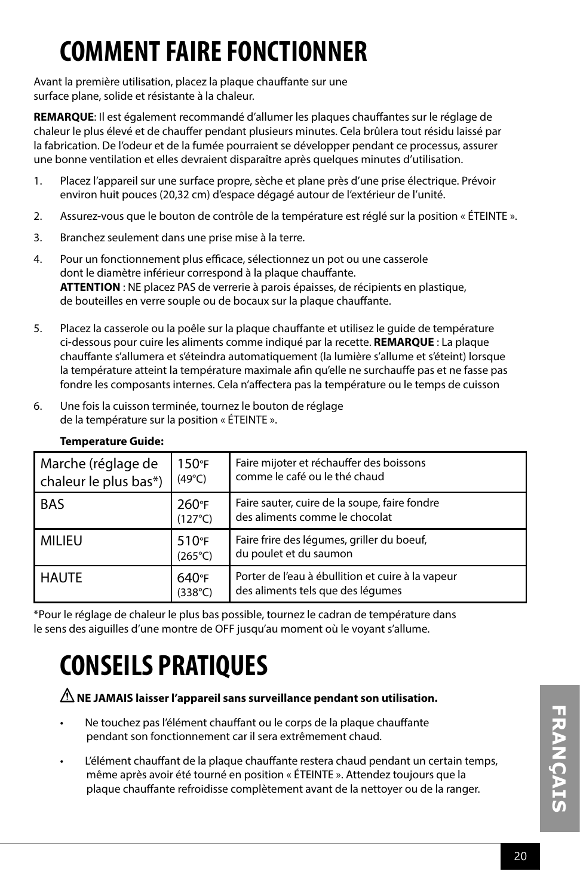# **COMMENT FAIRE FONCTIONNER**

Avant la première utilisation, placez la plaque chauffante sur une surface plane, solide et résistante à la chaleur.

**REMARQUE**: Il est également recommandé d'allumer les plaques chauffantes sur le réglage de chaleur le plus élevé et de chauffer pendant plusieurs minutes. Cela brûlera tout résidu laissé par la fabrication. De l'odeur et de la fumée pourraient se développer pendant ce processus, assurer une bonne ventilation et elles devraient disparaître après quelques minutes d'utilisation.

- 1. Placez l'appareil sur une surface propre, sèche et plane près d'une prise électrique. Prévoir environ huit pouces (20,32 cm) d'espace dégagé autour de l'extérieur de l'unité.
- 2. Assurez-vous que le bouton de contrôle de la température est réglé sur la position « ÉTEINTE ».
- 3. Branchez seulement dans une prise mise à la terre.
- 4. Pour un fonctionnement plus efficace, sélectionnez un pot ou une casserole dont le diamètre inférieur correspond à la plaque chauffante. **ATTENTION** : NE placez PAS de verrerie à parois épaisses, de récipients en plastique, de bouteilles en verre souple ou de bocaux sur la plaque chauffante.
- 5. Placez la casserole ou la poêle sur la plaque chauffante et utilisez le guide de température ci-dessous pour cuire les aliments comme indiqué par la recette. **REMARQUE** : La plaque chauffante s'allumera et s'éteindra automatiquement (la lumière s'allume et s'éteint) lorsque la température atteint la température maximale afin qu'elle ne surchauffe pas et ne fasse pas fondre les composants internes. Cela n'affectera pas la température ou le temps de cuisson
- 6. Une fois la cuisson terminée, tournez le bouton de réglage de la température sur la position « ÉTEINTE ».

| Marche (réglage de<br>chaleur le plus bas*) | $150^{\circ}$ F<br>$(49^{\circ}C)$ | Faire mijoter et réchauffer des boissons<br>comme le café ou le thé chaud              |
|---------------------------------------------|------------------------------------|----------------------------------------------------------------------------------------|
| <b>BAS</b>                                  | 260°F<br>$(127^{\circ}C)$          | Faire sauter, cuire de la soupe, faire fondre<br>des aliments comme le chocolat        |
| MILIEU                                      | 510°F<br>$(265^{\circ}C)$          | Faire frire des légumes, griller du boeuf,<br>du poulet et du saumon                   |
| l haute                                     | 640°F<br>$(338^{\circ}C)$          | Porter de l'eau à ébullition et cuire à la vapeur<br>des aliments tels que des légumes |

### **Temperature Guide:**

\*Pour le réglage de chaleur le plus bas possible, tournez le cadran de température dans le sens des aiguilles d'une montre de OFF jusqu'au moment où le voyant s'allume.

### **CONSEILS PRATIQUES**

### **NE JAMAIS laisser l'appareil sans surveillance pendant son utilisation.**

- Ne touchez pas l'élément chauffant ou le corps de la plaque chauffante pendant son fonctionnement car il sera extrêmement chaud.
- L'élément chauffant de la plaque chauffante restera chaud pendant un certain temps, même après avoir été tourné en position « ÉTEINTE ». Attendez toujours que la plaque chauffante refroidisse complètement avant de la nettoyer ou de la ranger.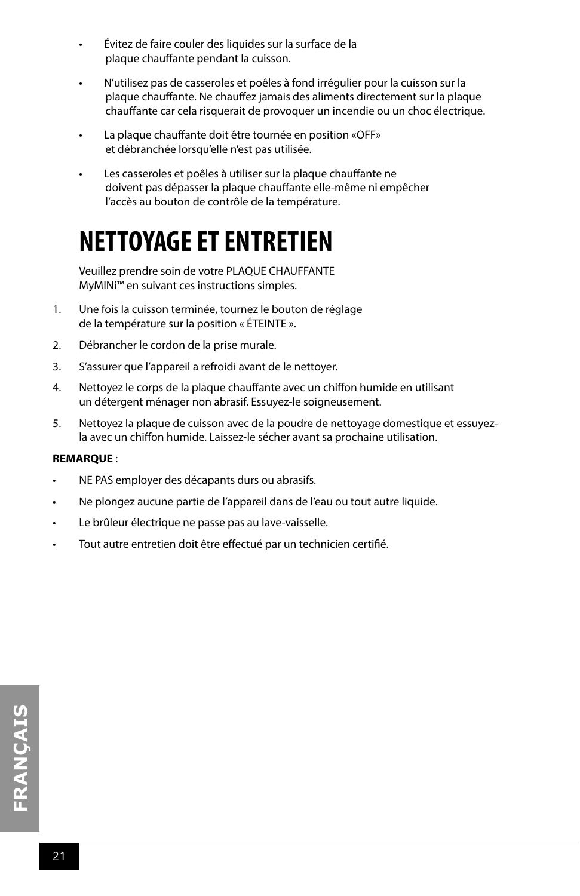- Évitez de faire couler des liquides sur la surface de la plaque chauffante pendant la cuisson.
- N'utilisez pas de casseroles et poêles à fond irrégulier pour la cuisson sur la plaque chauffante. Ne chauffez jamais des aliments directement sur la plaque chauffante car cela risquerait de provoquer un incendie ou un choc électrique.
- La plaque chauffante doit être tournée en position «OFF» et débranchée lorsqu'elle n'est pas utilisée.
- Les casseroles et poêles à utiliser sur la plaque chauffante ne doivent pas dépasser la plaque chauffante elle-même ni empêcher l'accès au bouton de contrôle de la température.

### **NETTOYAGE ET ENTRETIEN**

Veuillez prendre soin de votre PLAQUE CHAUFFANTE MyMINi™ en suivant ces instructions simples.

- 1. Une fois la cuisson terminée, tournez le bouton de réglage de la température sur la position « ÉTEINTE ».
- 2. Débrancher le cordon de la prise murale.
- 3. S'assurer que l'appareil a refroidi avant de le nettoyer.
- 4. Nettoyez le corps de la plaque chauffante avec un chiffon humide en utilisant un détergent ménager non abrasif. Essuyez-le soigneusement.
- 5. Nettoyez la plaque de cuisson avec de la poudre de nettoyage domestique et essuyezla avec un chiffon humide. Laissez-le sécher avant sa prochaine utilisation.

### **REMARQUE** :

- NE PAS employer des décapants durs ou abrasifs.
- Ne plongez aucune partie de l'appareil dans de l'eau ou tout autre liquide.
- Le brûleur électrique ne passe pas au lave-vaisselle.
- Tout autre entretien doit être effectué par un technicien certifié.